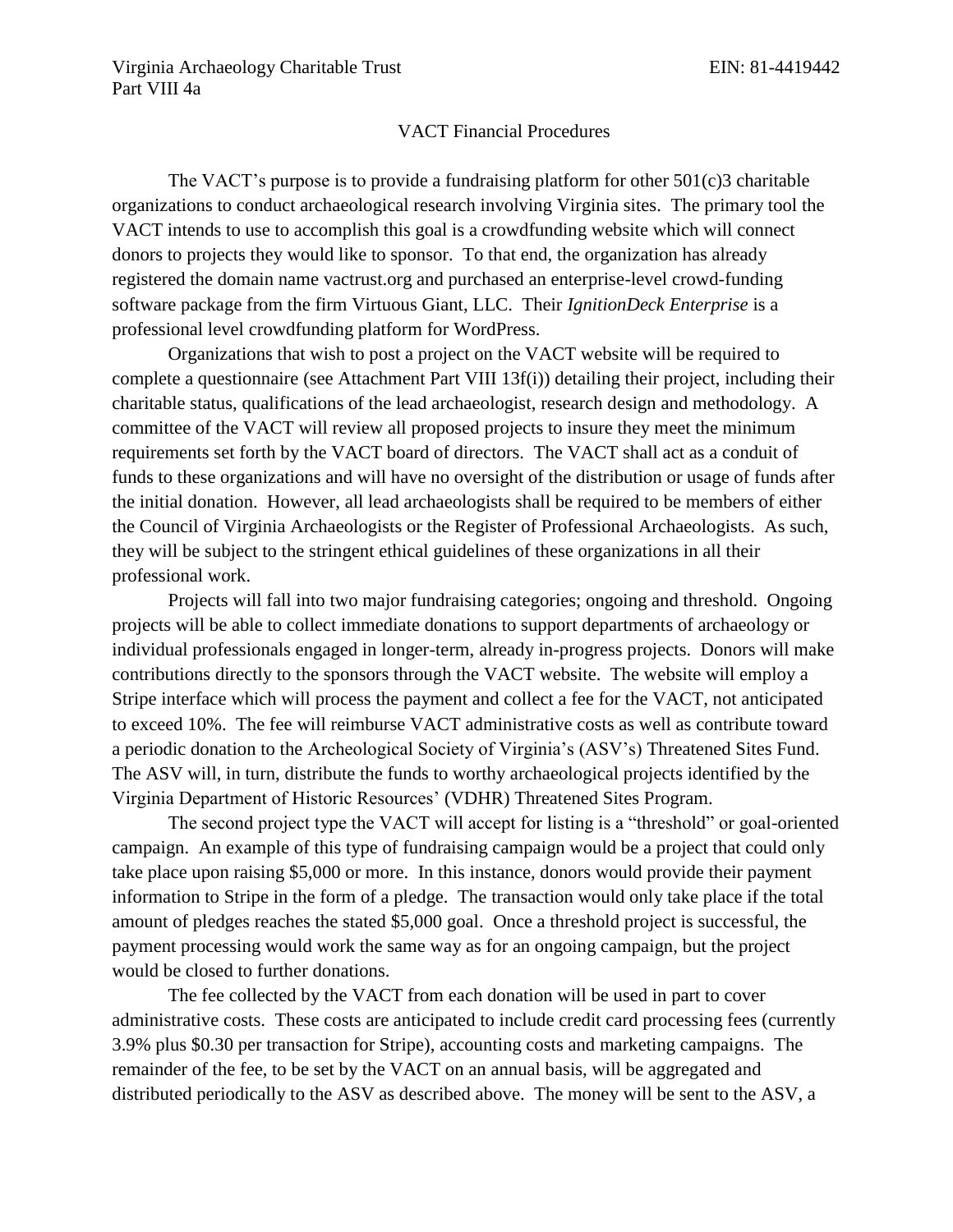## VACT Financial Procedures

The VACT's purpose is to provide a fundraising platform for other 501(c)3 charitable organizations to conduct archaeological research involving Virginia sites. The primary tool the VACT intends to use to accomplish this goal is a crowdfunding website which will connect donors to projects they would like to sponsor. To that end, the organization has already registered the domain name vactrust.org and purchased an enterprise-level crowd-funding software package from the firm Virtuous Giant, LLC. Their *IgnitionDeck Enterprise* is a professional level crowdfunding platform for WordPress.

Organizations that wish to post a project on the VACT website will be required to complete a questionnaire (see Attachment Part VIII 13f(i)) detailing their project, including their charitable status, qualifications of the lead archaeologist, research design and methodology. A committee of the VACT will review all proposed projects to insure they meet the minimum requirements set forth by the VACT board of directors. The VACT shall act as a conduit of funds to these organizations and will have no oversight of the distribution or usage of funds after the initial donation. However, all lead archaeologists shall be required to be members of either the Council of Virginia Archaeologists or the Register of Professional Archaeologists. As such, they will be subject to the stringent ethical guidelines of these organizations in all their professional work.

Projects will fall into two major fundraising categories; ongoing and threshold. Ongoing projects will be able to collect immediate donations to support departments of archaeology or individual professionals engaged in longer-term, already in-progress projects. Donors will make contributions directly to the sponsors through the VACT website. The website will employ a Stripe interface which will process the payment and collect a fee for the VACT, not anticipated to exceed 10%. The fee will reimburse VACT administrative costs as well as contribute toward a periodic donation to the Archeological Society of Virginia's (ASV's) Threatened Sites Fund. The ASV will, in turn, distribute the funds to worthy archaeological projects identified by the Virginia Department of Historic Resources' (VDHR) Threatened Sites Program.

The second project type the VACT will accept for listing is a "threshold" or goal-oriented campaign. An example of this type of fundraising campaign would be a project that could only take place upon raising \$5,000 or more. In this instance, donors would provide their payment information to Stripe in the form of a pledge. The transaction would only take place if the total amount of pledges reaches the stated \$5,000 goal. Once a threshold project is successful, the payment processing would work the same way as for an ongoing campaign, but the project would be closed to further donations.

The fee collected by the VACT from each donation will be used in part to cover administrative costs. These costs are anticipated to include credit card processing fees (currently 3.9% plus \$0.30 per transaction for Stripe), accounting costs and marketing campaigns. The remainder of the fee, to be set by the VACT on an annual basis, will be aggregated and distributed periodically to the ASV as described above. The money will be sent to the ASV, a